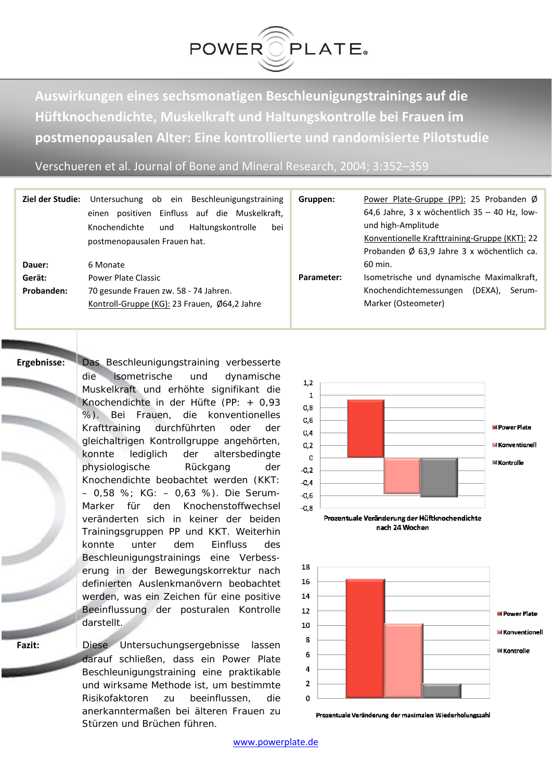

**Auswirkungen eines sechsmonatigen Beschleunigungstrainings auf die Hüftknochendichte, Muskelkraft und Haltungskontrolle bei Frauen im postmenopausalen Alter: Eine kontrollierte und randomisierte Pilotstudie**

Verschueren et al. Journal of Bone and Mineral Research, 2004; 3:352–359

| Ziel der Studie:               | Untersuchung ob ein Beschleunigungstraining<br>einen positiven Einfluss auf die Muskelkraft,<br>Haltungskontrolle<br>bei<br>Knochendichte<br>und<br>postmenopausalen Frauen hat. | Gruppen:   | Power Plate-Gruppe (PP): 25 Probanden $\emptyset$<br>64,6 Jahre, $3 \times$ wöchentlich $35 - 40$ Hz, low-<br>und high-Amplitude<br>Konventionelle Krafttraining-Gruppe (KKT): 22<br>Probanden $\emptyset$ 63,9 Jahre 3 x wöchentlich ca. |  |
|--------------------------------|----------------------------------------------------------------------------------------------------------------------------------------------------------------------------------|------------|-------------------------------------------------------------------------------------------------------------------------------------------------------------------------------------------------------------------------------------------|--|
| Dauer:<br>Gerät:<br>Probanden: | 6 Monate<br>Power Plate Classic<br>70 gesunde Frauen zw. 58 - 74 Jahren.                                                                                                         | Parameter: | 60 min.<br>Isometrische und dynamische Maximalkraft,<br>Knochendichtemessungen<br>(DEXA),<br>Serum-                                                                                                                                       |  |
|                                | Kontroll-Gruppe (KG): 23 Frauen, Ø64,2 Jahre                                                                                                                                     |            | Marker (Osteometer)                                                                                                                                                                                                                       |  |

**Ergebnisse:** Das Beschleunigungstraining verbesserte

die isometrische und dynamische Muskelkraft und erhöhte signifikant die Knochendichte in der Hüfte (PP: + 0,93 %). Bei Frauen, die konventionelles Krafttraining durchführten oder der gleichaltrigen Kontrollgruppe angehörten, konnte lediglich der altersbedingte physiologische Rückgang der Knochendichte beobachtet werden (KKT: – 0,58 %; KG: – 0,63 %). Die Serum-Marker für den Knochenstoffwechsel veränderten sich in keiner der beiden Trainingsgruppen PP und KKT. Weiterhin konnte unter dem Einfluss des Beschleunigungstrainings eine Verbesserung in der Bewegungskorrektur nach definierten Auslenkmanövern beobachtet werden, was ein Zeichen für eine positive Beeinflussung der posturalen Kontrolle darstellt.

**Fazit:** Diese Untersuchungsergebnisse lassen darauf schließen, dass ein Power Plate Beschleunigungstraining eine praktikable und wirksame Methode ist, um bestimmte Risikofaktoren zu beeinflussen, die anerkanntermaßen bei älteren Frauen zu Stürzen und Brüchen führen.







Prozentuale Veränderung der maximalen Wiederholungszahl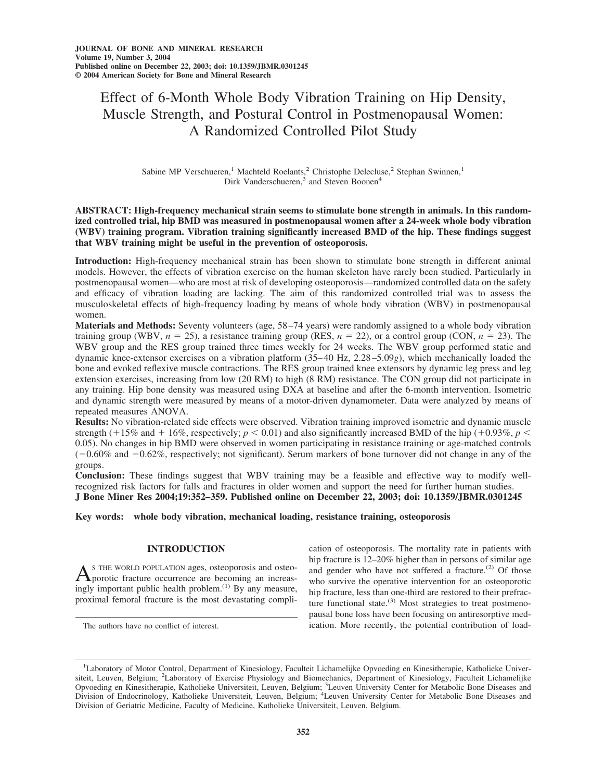# Effect of 6-Month Whole Body Vibration Training on Hip Density, Muscle Strength, and Postural Control in Postmenopausal Women: A Randomized Controlled Pilot Study

Sabine MP Verschueren,<sup>1</sup> Machteld Roelants,<sup>2</sup> Christophe Delecluse,<sup>2</sup> Stephan Swinnen,<sup>1</sup> Dirk Vanderschueren,<sup>3</sup> and Steven Boonen<sup>4</sup>

**ABSTRACT: High-frequency mechanical strain seems to stimulate bone strength in animals. In this randomized controlled trial, hip BMD was measured in postmenopausal women after a 24-week whole body vibration (WBV) training program. Vibration training significantly increased BMD of the hip. These findings suggest that WBV training might be useful in the prevention of osteoporosis.**

**Introduction:** High-frequency mechanical strain has been shown to stimulate bone strength in different animal models. However, the effects of vibration exercise on the human skeleton have rarely been studied. Particularly in postmenopausal women—who are most at risk of developing osteoporosis—randomized controlled data on the safety and efficacy of vibration loading are lacking. The aim of this randomized controlled trial was to assess the musculoskeletal effects of high-frequency loading by means of whole body vibration (WBV) in postmenopausal women.

**Materials and Methods:** Seventy volunteers (age, 58–74 years) were randomly assigned to a whole body vibration training group (WBV,  $n = 25$ ), a resistance training group (RES,  $n = 22$ ), or a control group (CON,  $n = 23$ ). The WBV group and the RES group trained three times weekly for 24 weeks. The WBV group performed static and dynamic knee-extensor exercises on a vibration platform (35–40 Hz, 2.28–5.09*g*), which mechanically loaded the bone and evoked reflexive muscle contractions. The RES group trained knee extensors by dynamic leg press and leg extension exercises, increasing from low (20 RM) to high (8 RM) resistance. The CON group did not participate in any training. Hip bone density was measured using DXA at baseline and after the 6-month intervention. Isometric and dynamic strength were measured by means of a motor-driven dynamometer. Data were analyzed by means of repeated measures ANOVA.

**Results:** No vibration-related side effects were observed. Vibration training improved isometric and dynamic muscle strength (+15% and +16%, respectively;  $p < 0.01$ ) and also significantly increased BMD of the hip (+0.93%,  $p <$ 0.05). No changes in hip BMD were observed in women participating in resistance training or age-matched controls  $(-0.60\%$  and  $-0.62\%$ , respectively; not significant). Serum markers of bone turnover did not change in any of the groups.

**Conclusion:** These findings suggest that WBV training may be a feasible and effective way to modify wellrecognized risk factors for falls and fractures in older women and support the need for further human studies. **J Bone Miner Res 2004;19:352–359. Published online on December 22, 2003; doi: 10.1359/JBMR.0301245**

**Key words: whole body vibration, mechanical loading, resistance training, osteoporosis**

# **INTRODUCTION**

As THE WORLD POPULATION ages, osteoporosis and osteo-<br>porotic fracture occurrence are becoming an increasingly important public health problem. $(1)$  By any measure, proximal femoral fracture is the most devastating compli-

cation of osteoporosis. The mortality rate in patients with hip fracture is 12–20% higher than in persons of similar age and gender who have not suffered a fracture.<sup> $(2)$ </sup> Of those who survive the operative intervention for an osteoporotic hip fracture, less than one-third are restored to their prefracture functional state.<sup>(3)</sup> Most strategies to treat postmenopausal bone loss have been focusing on antiresorptive med-The authors have no conflict of interest. ication. More recently, the potential contribution of load-

<sup>&</sup>lt;sup>1</sup>Laboratory of Motor Control, Department of Kinesiology, Faculteit Lichamelijke Opvoeding en Kinesitherapie, Katholieke Universiteit, Leuven, Belgium; <sup>2</sup>Laboratory of Exercise Physiology and Biomechanics, Department of Kinesiology, Faculteit Lichamelijke Opvoeding en Kinesitherapie, Katholieke Universiteit, Leuven, Belgium; <sup>3</sup>Leuven University Center for Metabolic Bone Diseases and<br>Division of Endocrinology, Katholieke Universiteit, Leuven, Belgium; <sup>4</sup>Leuven University C Division of Geriatric Medicine, Faculty of Medicine, Katholieke Universiteit, Leuven, Belgium.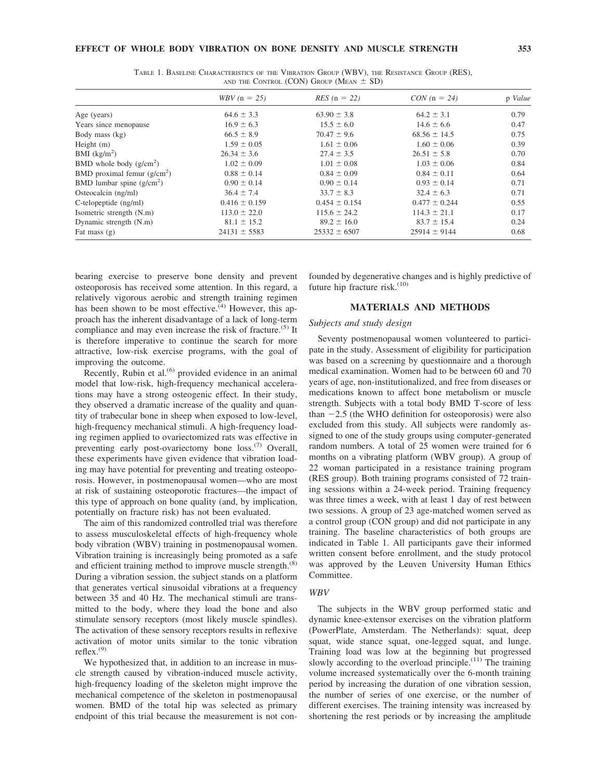|                               | $WBV (n = 25)$    | <i>RES</i> $(n = 22)$ | $CON (n = 24)$    | p Value |
|-------------------------------|-------------------|-----------------------|-------------------|---------|
| Age (years)                   | $64.6 \pm 3.3$    | $63.90 \pm 3.8$       | $64.2 \pm 3.1$    | 0.79    |
| Years since menopause         | $16.9 \pm 6.3$    | $15.5 \pm 6.0$        | $14.6 \pm 6.6$    | 0.47    |
| Body mass (kg)                | $66.5 \pm 8.9$    | $70.47 \pm 9.6$       | $68.56 \pm 14.5$  | 0.75    |
| Height $(m)$                  | $1.59 \pm 0.05$   | $1.61 \pm 0.06$       | $1.60 \pm 0.06$   | 0.39    |
| $BMI$ (kg/m <sup>2</sup> )    | $26.34 \pm 3.6$   | $27.4 \pm 3.5$        | $26.51 \pm 5.8$   | 0.70    |
| BMD whole body $(g/cm^2)$     | $1.02 \pm 0.09$   | $1.01 \pm 0.08$       | $1.03 \pm 0.06$   | 0.84    |
| BMD proximal femur $(g/cm^2)$ | $0.88 \pm 0.14$   | $0.84 \pm 0.09$       | $0.84 \pm 0.11$   | 0.64    |
| BMD lumbar spine $(g/cm^2)$   | $0.90 \pm 0.14$   | $0.90 \pm 0.14$       | $0.93 \pm 0.14$   | 0.71    |
| Osteocalcin (ng/ml)           | $36.4 \pm 7.4$    | $33.7 \pm 8.3$        | $32.4 \pm 6.3$    | 0.71    |
| $C$ -telopeptide $(ng/ml)$    | $0.416 \pm 0.159$ | $0.454 \pm 0.154$     | $0.477 \pm 0.244$ | 0.55    |
| Isometric strength (N.m)      | $113.0 \pm 22.0$  | $115.6 \pm 24.2$      | $114.3 \pm 21.1$  | 0.17    |
| Dynamic strength (N.m)        | $81.1 \pm 15.2$   | $89.2 \pm 16.0$       | $83.7 \pm 15.4$   | 0.24    |
| Fat mass $(g)$                | $24131 \pm 5583$  | $25332 \pm 6507$      | $25914 \pm 9144$  | 0.68    |

TABLE 1. BASELINE CHARACTERISTICS OF THE VIBRATION GROUP (WBV), THE RESISTANCE GROUP (RES), AND THE CONTROL (CON) GROUP (MEAN  $\pm$  SD)

bearing exercise to preserve bone density and prevent osteoporosis has received some attention. In this regard, a relatively vigorous aerobic and strength training regimen has been shown to be most effective.<sup> $(4)$ </sup> However, this approach has the inherent disadvantage of a lack of long-term compliance and may even increase the risk of fracture.<sup>(5)</sup> It is therefore imperative to continue the search for more attractive, low-risk exercise programs, with the goal of improving the outcome.

Recently, Rubin et al.<sup>(6)</sup> provided evidence in an animal model that low-risk, high-frequency mechanical accelerations may have a strong osteogenic effect. In their study, they observed a dramatic increase of the quality and quantity of trabecular bone in sheep when exposed to low-level, high-frequency mechanical stimuli. A high-frequency loading regimen applied to ovariectomized rats was effective in preventing early post-ovariectomy bone loss.<sup>(7)</sup> Overall, these experiments have given evidence that vibration loading may have potential for preventing and treating osteoporosis. However, in postmenopausal women—who are most at risk of sustaining osteoporotic fractures—the impact of this type of approach on bone quality (and, by implication, potentially on fracture risk) has not been evaluated.

The aim of this randomized controlled trial was therefore to assess musculoskeletal effects of high-frequency whole body vibration (WBV) training in postmenopausal women. Vibration training is increasingly being promoted as a safe and efficient training method to improve muscle strength.<sup>(8)</sup> During a vibration session, the subject stands on a platform that generates vertical sinusoidal vibrations at a frequency between 35 and 40 Hz. The mechanical stimuli are transmitted to the body, where they load the bone and also stimulate sensory receptors (most likely muscle spindles). The activation of these sensory receptors results in reflexive activation of motor units similar to the tonic vibration reflex. $(9)$ 

We hypothesized that, in addition to an increase in muscle strength caused by vibration-induced muscle activity, high-frequency loading of the skeleton might improve the mechanical competence of the skeleton in postmenopausal women. BMD of the total hip was selected as primary endpoint of this trial because the measurement is not confounded by degenerative changes and is highly predictive of future hip fracture risk.<sup>(10)</sup>

#### **MATERIALS AND METHODS**

# *Subjects and study design*

Seventy postmenopausal women volunteered to participate in the study. Assessment of eligibility for participation was based on a screening by questionnaire and a thorough medical examination. Women had to be between 60 and 70 years of age, non-institutionalized, and free from diseases or medications known to affect bone metabolism or muscle strength. Subjects with a total body BMD T-score of less than  $-2.5$  (the WHO definition for osteoporosis) were also excluded from this study. All subjects were randomly assigned to one of the study groups using computer-generated random numbers. A total of 25 women were trained for 6 months on a vibrating platform (WBV group). A group of 22 woman participated in a resistance training program (RES group). Both training programs consisted of 72 training sessions within a 24-week period. Training frequency was three times a week, with at least 1 day of rest between two sessions. A group of 23 age-matched women served as a control group (CON group) and did not participate in any training. The baseline characteristics of both groups are indicated in Table 1. All participants gave their informed written consent before enrollment, and the study protocol was approved by the Leuven University Human Ethics Committee.

# *WBV*

The subjects in the WBV group performed static and dynamic knee-extensor exercises on the vibration platform (PowerPlate, Amsterdam. The Netherlands): squat, deep squat, wide stance squat, one-legged squat, and lunge. Training load was low at the beginning but progressed slowly according to the overload principle. $(11)$  The training volume increased systematically over the 6-month training period by increasing the duration of one vibration session, the number of series of one exercise, or the number of different exercises. The training intensity was increased by shortening the rest periods or by increasing the amplitude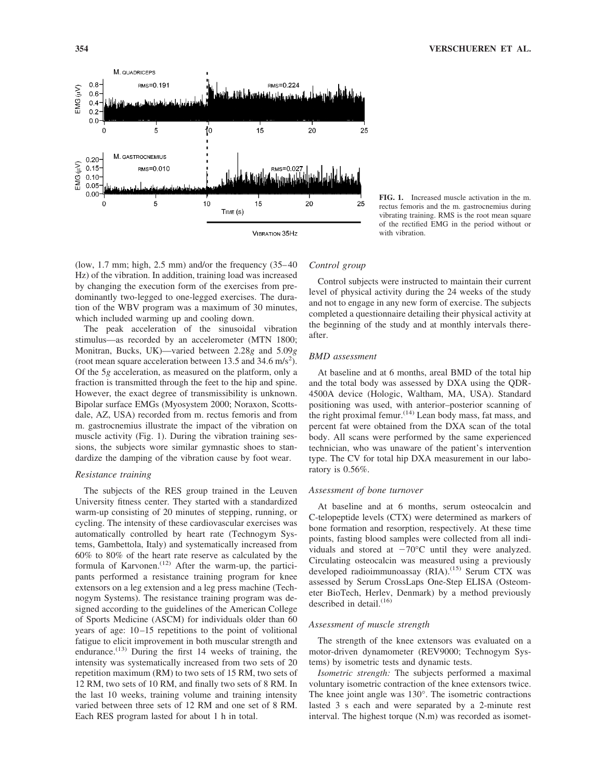

**FIG. 1.** Increased muscle activation in the m. rectus femoris and the m. gastrocnemius during vibrating training. RMS is the root mean square of the rectified EMG in the period without or with vibration.

(low, 1.7 mm; high, 2.5 mm) and/or the frequency (35–40 Hz) of the vibration. In addition, training load was increased by changing the execution form of the exercises from predominantly two-legged to one-legged exercises. The duration of the WBV program was a maximum of 30 minutes, which included warming up and cooling down.

The peak acceleration of the sinusoidal vibration stimulus—as recorded by an accelerometer (MTN 1800; Monitran, Bucks, UK)—varied between 2.28*g* and 5.09*g* (root mean square acceleration between 13.5 and 34.6 m/s<sup>2</sup>). Of the 5*g* acceleration, as measured on the platform, only a fraction is transmitted through the feet to the hip and spine. However, the exact degree of transmissibility is unknown. Bipolar surface EMGs (Myosystem 2000; Noraxon, Scottsdale, AZ, USA) recorded from m. rectus femoris and from m. gastrocnemius illustrate the impact of the vibration on muscle activity (Fig. 1). During the vibration training sessions, the subjects wore similar gymnastic shoes to standardize the damping of the vibration cause by foot wear.

## *Resistance training*

The subjects of the RES group trained in the Leuven University fitness center. They started with a standardized warm-up consisting of 20 minutes of stepping, running, or cycling. The intensity of these cardiovascular exercises was automatically controlled by heart rate (Technogym Systems, Gambettola, Italy) and systematically increased from 60% to 80% of the heart rate reserve as calculated by the formula of Karvonen.<sup>(12)</sup> After the warm-up, the participants performed a resistance training program for knee extensors on a leg extension and a leg press machine (Technogym Systems). The resistance training program was designed according to the guidelines of the American College of Sports Medicine (ASCM) for individuals older than 60 years of age: 10–15 repetitions to the point of volitional fatigue to elicit improvement in both muscular strength and endurance.<sup>(13)</sup> During the first 14 weeks of training, the intensity was systematically increased from two sets of 20 repetition maximum (RM) to two sets of 15 RM, two sets of 12 RM, two sets of 10 RM, and finally two sets of 8 RM. In the last 10 weeks, training volume and training intensity varied between three sets of 12 RM and one set of 8 RM. Each RES program lasted for about 1 h in total.

## *Control group*

Control subjects were instructed to maintain their current level of physical activity during the 24 weeks of the study and not to engage in any new form of exercise. The subjects completed a questionnaire detailing their physical activity at the beginning of the study and at monthly intervals thereafter.

#### *BMD assessment*

At baseline and at 6 months, areal BMD of the total hip and the total body was assessed by DXA using the QDR-4500A device (Hologic, Waltham, MA, USA). Standard positioning was used, with anterior–posterior scanning of the right proximal femur.<sup> $(14)$ </sup> Lean body mass, fat mass, and percent fat were obtained from the DXA scan of the total body. All scans were performed by the same experienced technician, who was unaware of the patient's intervention type. The CV for total hip DXA measurement in our laboratory is 0.56%.

#### *Assessment of bone turnover*

At baseline and at 6 months, serum osteocalcin and C-telopeptide levels (CTX) were determined as markers of bone formation and resorption, respectively. At these time points, fasting blood samples were collected from all individuals and stored at  $-70^{\circ}$ C until they were analyzed. Circulating osteocalcin was measured using a previously developed radioimmunoassay (RIA).<sup>(15)</sup> Serum CTX was assessed by Serum CrossLaps One-Step ELISA (Osteometer BioTech, Herlev, Denmark) by a method previously described in detail.<sup>(16)</sup>

#### *Assessment of muscle strength*

The strength of the knee extensors was evaluated on a motor-driven dynamometer (REV9000; Technogym Systems) by isometric tests and dynamic tests.

*Isometric strength:* The subjects performed a maximal voluntary isometric contraction of the knee extensors twice. The knee joint angle was 130°. The isometric contractions lasted 3 s each and were separated by a 2-minute rest interval. The highest torque (N.m) was recorded as isomet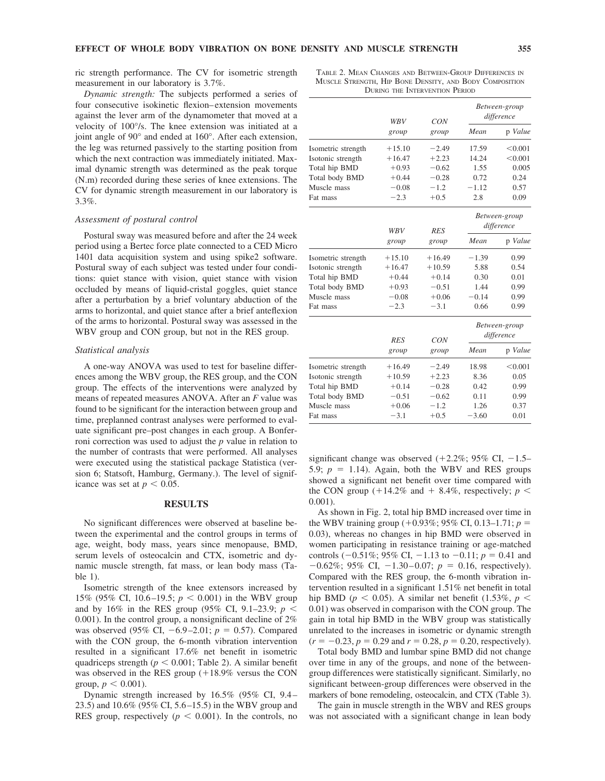ric strength performance. The CV for isometric strength measurement in our laboratory is 3.7%.

*Dynamic strength:* The subjects performed a series of four consecutive isokinetic flexion–extension movements against the lever arm of the dynamometer that moved at a velocity of 100°/s. The knee extension was initiated at a joint angle of 90° and ended at 160°. After each extension, the leg was returned passively to the starting position from which the next contraction was immediately initiated. Maximal dynamic strength was determined as the peak torque (N.m) recorded during these series of knee extensions. The CV for dynamic strength measurement in our laboratory is 3.3%.

## *Assessment of postural control*

Postural sway was measured before and after the 24 week period using a Bertec force plate connected to a CED Micro 1401 data acquisition system and using spike2 software. Postural sway of each subject was tested under four conditions: quiet stance with vision, quiet stance with vision occluded by means of liquid-cristal goggles, quiet stance after a perturbation by a brief voluntary abduction of the arms to horizontal, and quiet stance after a brief anteflexion of the arms to horizontal. Postural sway was assessed in the WBV group and CON group, but not in the RES group.

#### *Statistical analysis*

A one-way ANOVA was used to test for baseline differences among the WBV group, the RES group, and the CON group. The effects of the interventions were analyzed by means of repeated measures ANOVA. After an *F* value was found to be significant for the interaction between group and time, preplanned contrast analyses were performed to evaluate significant pre–post changes in each group. A Bonferroni correction was used to adjust the *p* value in relation to the number of contrasts that were performed. All analyses were executed using the statistical package Statistica (version 6; Statsoft, Hamburg, Germany.). The level of significance was set at  $p < 0.05$ .

## **RESULTS**

No significant differences were observed at baseline between the experimental and the control groups in terms of age, weight, body mass, years since menopause, BMD, serum levels of osteocalcin and CTX, isometric and dynamic muscle strength, fat mass, or lean body mass (Table 1).

Isometric strength of the knee extensors increased by 15% (95% CI, 10.6–19.5;  $p < 0.001$ ) in the WBV group and by 16% in the RES group (95% CI, 9.1–23.9;  $p <$ 0.001). In the control group, a nonsignificant decline of  $2\%$ was observed (95% CI,  $-6.9-2.01$ ;  $p = 0.57$ ). Compared with the CON group, the 6-month vibration intervention resulted in a significant 17.6% net benefit in isometric quadriceps strength ( $p < 0.001$ ; Table 2). A similar benefit was observed in the RES group  $(+18.9\%$  versus the CON group,  $p < 0.001$ ).

Dynamic strength increased by 16.5% (95% CI, 9.4– 23.5) and 10.6% (95% CI, 5.6–15.5) in the WBV group and RES group, respectively  $(p < 0.001)$ . In the controls, no

TABLE 2. MEAN CHANGES AND BETWEEN-GROUP DIFFERENCES IN MUSCLE STRENGTH, HIP BONE DENSITY, AND BODY COMPOSITION DURING THE INTERVENTION PERIOD

|                    | WBV        | <b>CON</b> |         | Between-group<br>difference |
|--------------------|------------|------------|---------|-----------------------------|
|                    | group      | group      | Mean    | p Value                     |
| Isometric strength | $+15.10$   | $-2.49$    | 17.59   | < 0.001                     |
| Isotonic strength  | $+16.47$   | $+2.23$    | 14.24   | < 0.001                     |
| Total hip BMD      | $+0.93$    | $-0.62$    | 1.55    | 0.005                       |
| Total body BMD     | $+0.44$    | $-0.28$    | 0.72    | 0.24                        |
| Muscle mass        | $-0.08$    | $-1.2$     | $-1.12$ | 0.57                        |
| Fat mass           | $-2.3$     | $+0.5$     | 2.8     | 0.09                        |
|                    |            |            |         | Between-group<br>difference |
|                    | WBV        | <b>RES</b> |         |                             |
|                    | group      | group      | Mean    | p Value                     |
| Isometric strength | $+15.10$   | $+16.49$   | $-1.39$ | 0.99                        |
| Isotonic strength  | $+16.47$   | $+10.59$   | 5.88    | 0.54                        |
| Total hip BMD      | $+0.44$    | $+0.14$    | 0.30    | 0.01                        |
| Total body BMD     | $+0.93$    | $-0.51$    | 1.44    | 0.99                        |
| Muscle mass        | $-0.08$    | $+0.06$    | $-0.14$ | 0.99                        |
| Fat mass           | $-2.3$     | $-3.1$     | 0.66    | 0.99                        |
|                    |            |            |         | Between-group               |
|                    | <b>RES</b> | <b>CON</b> |         | difference                  |
|                    | group      | group      | Mean    | p Value                     |
| Isometric strength | $+16.49$   | $-2.49$    | 18.98   | < 0.001                     |
| Isotonic strength  | $+10.59$   | $+2.23$    | 8.36    | 0.05                        |
| Total hip BMD      | $+0.14$    | $-0.28$    | 0.42    | 0.99                        |
| Total body BMD     | $-0.51$    | $-0.62$    | 0.11    | 0.99                        |
| Muscle mass        | $+0.06$    | $-1.2$     | 1.26    | 0.37                        |
| Fat mass           | $-3.1$     | $+0.5$     | $-3.60$ | 0.01                        |
|                    |            |            |         |                             |

significant change was observed  $(+2.2\%; 95\% \text{ CI}, -1.5-$ 5.9;  $p = 1.14$ ). Again, both the WBV and RES groups showed a significant net benefit over time compared with the CON group  $(+14.2\%$  and  $+8.4\%$ , respectively;  $p <$ 0.001).

As shown in Fig. 2, total hip BMD increased over time in the WBV training group  $(+0.93\%; 95\% \text{ CI}, 0.13-1.71; p =$ 0.03), whereas no changes in hip BMD were observed in women participating in resistance training or age-matched controls  $(-0.51\%; 95\% \text{ CI}, -1.13 \text{ to } -0.11; p = 0.41 \text{ and }$  $-0.62\%$ ; 95% CI,  $-1.30-0.07$ ;  $p = 0.16$ , respectively). Compared with the RES group, the 6-month vibration intervention resulted in a significant 1.51% net benefit in total hip BMD ( $p < 0.05$ ). A similar net benefit (1.53%,  $p <$ 0.01) was observed in comparison with the CON group. The gain in total hip BMD in the WBV group was statistically unrelated to the increases in isometric or dynamic strength  $(r = -0.23, p = 0.29 \text{ and } r = 0.28, p = 0.20, \text{ respectively}).$ 

Total body BMD and lumbar spine BMD did not change over time in any of the groups, and none of the betweengroup differences were statistically significant. Similarly, no significant between-group differences were observed in the markers of bone remodeling, osteocalcin, and CTX (Table 3).

The gain in muscle strength in the WBV and RES groups was not associated with a significant change in lean body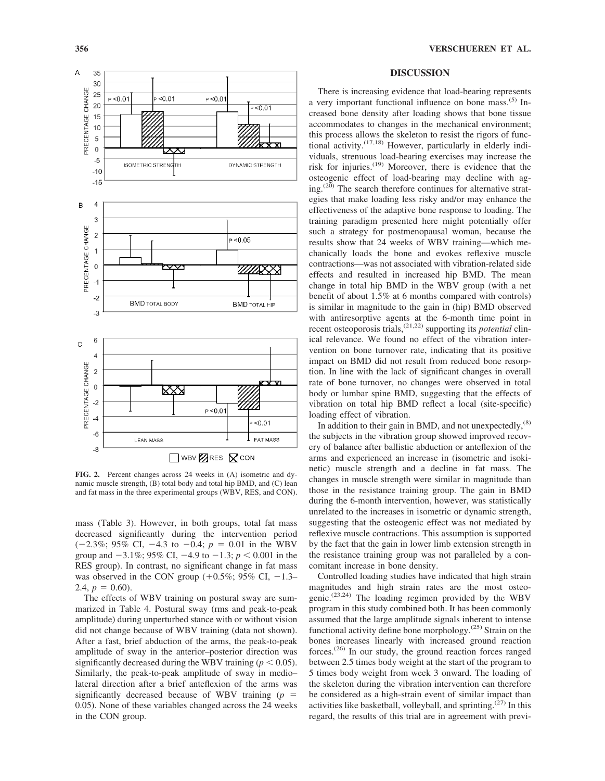

**FIG. 2.** Percent changes across 24 weeks in (A) isometric and dynamic muscle strength, (B) total body and total hip BMD, and (C) lean and fat mass in the three experimental groups (WBV, RES, and CON).

mass (Table 3). However, in both groups, total fat mass decreased significantly during the intervention period  $(-2.3\%; 95\% \text{ CI}, -4.3 \text{ to } -0.4; p = 0.01 \text{ in the WBV})$ group and  $-3.1\%$ ; 95% CI,  $-4.9$  to  $-1.3$ ;  $p < 0.001$  in the RES group). In contrast, no significant change in fat mass was observed in the CON group  $(+0.5\%; 95\% \text{ CI}, -1.3-$ 2.4,  $p = 0.60$ ).

The effects of WBV training on postural sway are summarized in Table 4. Postural sway (rms and peak-to-peak amplitude) during unperturbed stance with or without vision did not change because of WBV training (data not shown). After a fast, brief abduction of the arms, the peak-to-peak amplitude of sway in the anterior–posterior direction was significantly decreased during the WBV training ( $p < 0.05$ ). Similarly, the peak-to-peak amplitude of sway in medio– lateral direction after a brief anteflexion of the arms was significantly decreased because of WBV training  $(p =$ 0.05). None of these variables changed across the 24 weeks in the CON group.

#### **356 VERSCHUEREN ET AL.**

## **DISCUSSION**

There is increasing evidence that load-bearing represents a very important functional influence on bone mass.<sup>(5)</sup> Increased bone density after loading shows that bone tissue accommodates to changes in the mechanical environment; this process allows the skeleton to resist the rigors of functional activity.(17,18) However, particularly in elderly individuals, strenuous load-bearing exercises may increase the risk for injuries.(19) Moreover, there is evidence that the osteogenic effect of load-bearing may decline with aging. $(20)$  The search therefore continues for alternative strategies that make loading less risky and/or may enhance the effectiveness of the adaptive bone response to loading. The training paradigm presented here might potentially offer such a strategy for postmenopausal woman, because the results show that 24 weeks of WBV training—which mechanically loads the bone and evokes reflexive muscle contractions—was not associated with vibration-related side effects and resulted in increased hip BMD. The mean change in total hip BMD in the WBV group (with a net benefit of about 1.5% at 6 months compared with controls) is similar in magnitude to the gain in (hip) BMD observed with antiresorptive agents at the 6-month time point in recent osteoporosis trials,(21,22) supporting its *potential* clinical relevance. We found no effect of the vibration intervention on bone turnover rate, indicating that its positive impact on BMD did not result from reduced bone resorption. In line with the lack of significant changes in overall rate of bone turnover, no changes were observed in total body or lumbar spine BMD, suggesting that the effects of vibration on total hip BMD reflect a local (site-specific) loading effect of vibration.

In addition to their gain in BMD, and not unexpectedly,<sup>(8)</sup> the subjects in the vibration group showed improved recovery of balance after ballistic abduction or anteflexion of the arms and experienced an increase in (isometric and isokinetic) muscle strength and a decline in fat mass. The changes in muscle strength were similar in magnitude than those in the resistance training group. The gain in BMD during the 6-month intervention, however, was statistically unrelated to the increases in isometric or dynamic strength, suggesting that the osteogenic effect was not mediated by reflexive muscle contractions. This assumption is supported by the fact that the gain in lower limb extension strength in the resistance training group was not paralleled by a concomitant increase in bone density.

Controlled loading studies have indicated that high strain magnitudes and high strain rates are the most osteogenic.(23,24) The loading regimen provided by the WBV program in this study combined both. It has been commonly assumed that the large amplitude signals inherent to intense functional activity define bone morphology.<sup> $(25)$ </sup> Strain on the bones increases linearly with increased ground reaction forces.(26) In our study, the ground reaction forces ranged between 2.5 times body weight at the start of the program to 5 times body weight from week 3 onward. The loading of the skeleton during the vibration intervention can therefore be considered as a high-strain event of similar impact than activities like basketball, volleyball, and sprinting. $(27)$  In this regard, the results of this trial are in agreement with previ-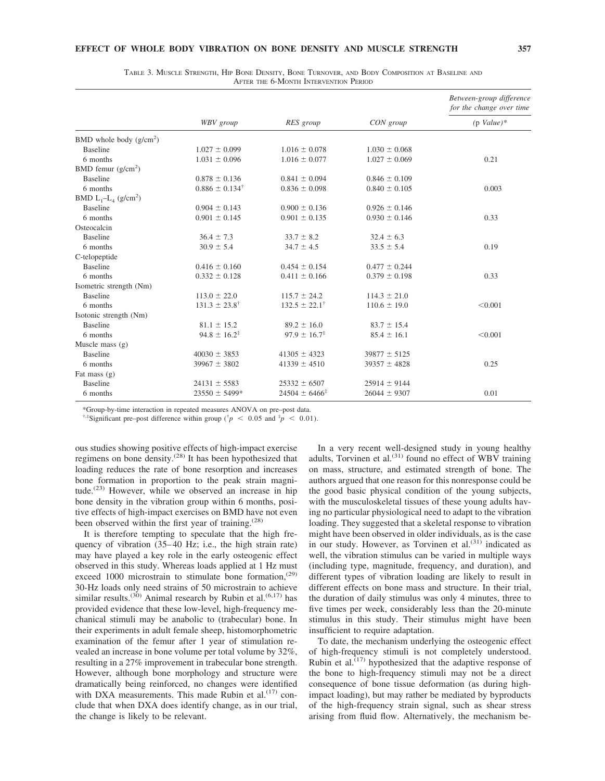|                                    |                             |                             |                   | Between-group difference<br>for the change over time |  |
|------------------------------------|-----------------------------|-----------------------------|-------------------|------------------------------------------------------|--|
|                                    | WBV group                   | RES group                   | CON group         | $(p$ Value)*                                         |  |
| BMD whole body $(g/cm^2)$          |                             |                             |                   |                                                      |  |
| <b>Baseline</b>                    | $1.027 \pm 0.099$           | $1.016 \pm 0.078$           | $1.030 \pm 0.068$ |                                                      |  |
| 6 months                           | $1.031 \pm 0.096$           | $1.016 \pm 0.077$           | $1.027 \pm 0.069$ | 0.21                                                 |  |
| BMD femur $(g/cm^2)$               |                             |                             |                   |                                                      |  |
| <b>Baseline</b>                    | $0.878 \pm 0.136$           | $0.841 \pm 0.094$           | $0.846 \pm 0.109$ |                                                      |  |
| 6 months                           | $0.886 \pm 0.134^{\dagger}$ | $0.836 \pm 0.098$           | $0.840 \pm 0.105$ | 0.003                                                |  |
| BMD $L_1-L_4$ (g/cm <sup>2</sup> ) |                             |                             |                   |                                                      |  |
| <b>Baseline</b>                    | $0.904 \pm 0.143$           | $0.900 \pm 0.136$           | $0.926 \pm 0.146$ |                                                      |  |
| 6 months                           | $0.901 \pm 0.145$           | $0.901 \pm 0.135$           | $0.930 \pm 0.146$ | 0.33                                                 |  |
| Osteocalcin                        |                             |                             |                   |                                                      |  |
| <b>Baseline</b>                    | $36.4 \pm 7.3$              | $33.7 \pm 8.2$              | $32.4 \pm 6.3$    |                                                      |  |
| 6 months                           | $30.9 \pm 5.4$              | $34.7 \pm 4.5$              | $33.5 \pm 5.4$    | 0.19                                                 |  |
| C-telopeptide                      |                             |                             |                   |                                                      |  |
| <b>Baseline</b>                    | $0.416 \pm 0.160$           | $0.454 \pm 0.154$           | $0.477 \pm 0.244$ |                                                      |  |
| 6 months                           | $0.332 \pm 0.128$           | $0.411 \pm 0.166$           | $0.379 \pm 0.198$ | 0.33                                                 |  |
| Isometric strength (Nm)            |                             |                             |                   |                                                      |  |
| <b>Baseline</b>                    | $113.0 \pm 22.0$            | $115.7 \pm 24.2$            | $114.3 \pm 21.0$  |                                                      |  |
| 6 months                           | $131.3 \pm 23.8^{\dagger}$  | $132.5 \pm 22.1^{\dagger}$  | $110.6 \pm 19.0$  | < 0.001                                              |  |
| Isotonic strength (Nm)             |                             |                             |                   |                                                      |  |
| <b>Baseline</b>                    | $81.1 \pm 15.2$             | $89.2 \pm 16.0$             | $83.7 \pm 15.4$   |                                                      |  |
| 6 months                           | $94.8 \pm 16.2^{\ddagger}$  | $97.9 \pm 16.7^{\ddagger}$  | $85.4 \pm 16.1$   | < 0.001                                              |  |
| Muscle mass $(g)$                  |                             |                             |                   |                                                      |  |
| <b>Baseline</b>                    | $40030 \pm 3853$            | $41305 \pm 4323$            | $39877 \pm 5125$  |                                                      |  |
| 6 months                           | $39967 \pm 3802$            | $41339 \pm 4510$            | $39357 \pm 4828$  | 0.25                                                 |  |
| Fat mass $(g)$                     |                             |                             |                   |                                                      |  |
| <b>Baseline</b>                    | $24131 \pm 5583$            | $25332 \pm 6507$            | $25914 \pm 9144$  |                                                      |  |
| 6 months                           | $23550 \pm 5499*$           | $24504 \pm 6466^{\ddagger}$ | $26044 \pm 9307$  | 0.01                                                 |  |

TABLE 3. MUSCLE STRENGTH, HIP BONE DENSITY, BONE TURNOVER, AND BODY COMPOSITION AT BASELINE AND AFTER THE 6-MONTH INTERVENTION PERIOD

\*Group-by-time interaction in repeated measures ANOVA on pre–post data.

<sup>†,‡</sup>Significant pre–post difference within group ( $\frac{1}{p}$  < 0.05 and  $\frac{1}{p}$  < 0.01).

ous studies showing positive effects of high-impact exercise regimens on bone density.<sup>(28)</sup> It has been hypothesized that loading reduces the rate of bone resorption and increases bone formation in proportion to the peak strain magnitude.<sup>(23)</sup> However, while we observed an increase in hip bone density in the vibration group within 6 months, positive effects of high-impact exercises on BMD have not even been observed within the first year of training.<sup> $(28)$ </sup>

It is therefore tempting to speculate that the high frequency of vibration (35–40 Hz; i.e., the high strain rate) may have played a key role in the early osteogenic effect observed in this study. Whereas loads applied at 1 Hz must exceed 1000 microstrain to stimulate bone formation,<sup> $(29)$ </sup> 30-Hz loads only need strains of 50 microstrain to achieve similar results.<sup>(30)</sup> Animal research by Rubin et al.<sup>(6,17)</sup> has provided evidence that these low-level, high-frequency mechanical stimuli may be anabolic to (trabecular) bone. In their experiments in adult female sheep, histomorphometric examination of the femur after 1 year of stimulation revealed an increase in bone volume per total volume by 32%, resulting in a 27% improvement in trabecular bone strength. However, although bone morphology and structure were dramatically being reinforced, no changes were identified with DXA measurements. This made Rubin et al.<sup>(17)</sup> conclude that when DXA does identify change, as in our trial, the change is likely to be relevant.

In a very recent well-designed study in young healthy adults, Torvinen et al. $(31)$  found no effect of WBV training on mass, structure, and estimated strength of bone. The authors argued that one reason for this nonresponse could be the good basic physical condition of the young subjects, with the musculoskeletal tissues of these young adults having no particular physiological need to adapt to the vibration loading. They suggested that a skeletal response to vibration might have been observed in older individuals, as is the case in our study. However, as Torvinen et al.<sup>(31)</sup> indicated as well, the vibration stimulus can be varied in multiple ways (including type, magnitude, frequency, and duration), and different types of vibration loading are likely to result in different effects on bone mass and structure. In their trial, the duration of daily stimulus was only 4 minutes, three to five times per week, considerably less than the 20-minute stimulus in this study. Their stimulus might have been insufficient to require adaptation.

To date, the mechanism underlying the osteogenic effect of high-frequency stimuli is not completely understood. Rubin et al. $(17)$  hypothesized that the adaptive response of the bone to high-frequency stimuli may not be a direct consequence of bone tissue deformation (as during highimpact loading), but may rather be mediated by byproducts of the high-frequency strain signal, such as shear stress arising from fluid flow. Alternatively, the mechanism be-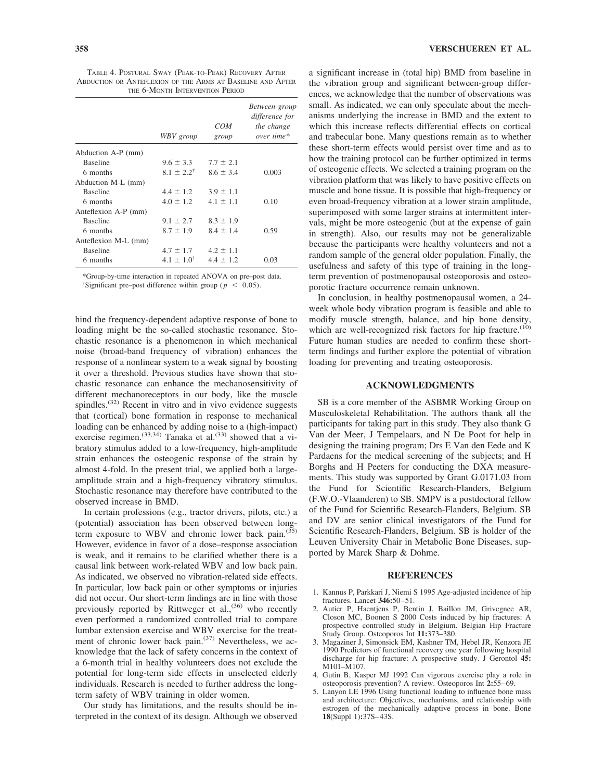TABLE 4. POSTURAL SWAY (PEAK-TO-PEAK) RECOVERY AFTER ABDUCTION OR ANTEFLEXION OF THE ARMS AT BASELINE AND AFTER THE 6-MONTH INTERVENTION PERIOD

|                      |                         | <i>COM</i>    | Between-group<br>difference for<br>the change |
|----------------------|-------------------------|---------------|-----------------------------------------------|
|                      | <i>WBV group</i>        | group         | over time*                                    |
| Abduction A-P (mm)   |                         |               |                                               |
| <b>Baseline</b>      | $9.6 \pm 3.3$           | $7.7 \pm 2.1$ |                                               |
| 6 months             | $8.1 \pm 2.2^{\dagger}$ | $8.6 \pm 3.4$ | 0.003                                         |
| Abduction M-L (mm)   |                         |               |                                               |
| <b>Baseline</b>      | $4.4 \pm 1.2$           | $3.9 \pm 1.1$ |                                               |
| 6 months             | $4.0 \pm 1.2$           | $4.1 \pm 1.1$ | 0.10                                          |
| Anteflexion A-P (mm) |                         |               |                                               |
| <b>Baseline</b>      | $9.1 \pm 2.7$           | $8.3 \pm 1.9$ |                                               |
| 6 months             | $8.7 \pm 1.9$           | $8.4 \pm 1.4$ | 0.59                                          |
| Anteflexion M-L (mm) |                         |               |                                               |
| <b>Baseline</b>      | $4.7 \pm 1.7$           | $4.2 \pm 1.1$ |                                               |
| 6 months             | $4.1 \pm 1.0^{\dagger}$ | $4.4 \pm 1.2$ | 0.03                                          |

<sup>\*</sup>Group-by-time interaction in repeated ANOVA on pre–post data. <sup>†</sup>Significant pre–post difference within group ( $p < 0.05$ ).

hind the frequency-dependent adaptive response of bone to loading might be the so-called stochastic resonance. Stochastic resonance is a phenomenon in which mechanical noise (broad-band frequency of vibration) enhances the response of a nonlinear system to a weak signal by boosting it over a threshold. Previous studies have shown that stochastic resonance can enhance the mechanosensitivity of different mechanoreceptors in our body, like the muscle spindles.<sup> $(32)$ </sup> Recent in vitro and in vivo evidence suggests that (cortical) bone formation in response to mechanical loading can be enhanced by adding noise to a (high-impact) exercise regimen.<sup>(33,34)</sup> Tanaka et al.<sup>(33)</sup> showed that a vibratory stimulus added to a low-frequency, high-amplitude strain enhances the osteogenic response of the strain by almost 4-fold. In the present trial, we applied both a largeamplitude strain and a high-frequency vibratory stimulus. Stochastic resonance may therefore have contributed to the observed increase in BMD.

In certain professions (e.g., tractor drivers, pilots, etc.) a (potential) association has been observed between longterm exposure to WBV and chronic lower back pain.(35) However, evidence in favor of a dose–response association is weak, and it remains to be clarified whether there is a causal link between work-related WBV and low back pain. As indicated, we observed no vibration-related side effects. In particular, low back pain or other symptoms or injuries did not occur. Our short-term findings are in line with those previously reported by Rittweger et al.,<sup>(36)</sup> who recently even performed a randomized controlled trial to compare lumbar extension exercise and WBV exercise for the treatment of chronic lower back pain. $(37)$  Nevertheless, we acknowledge that the lack of safety concerns in the context of a 6-month trial in healthy volunteers does not exclude the potential for long-term side effects in unselected elderly individuals. Research is needed to further address the longterm safety of WBV training in older women.

Our study has limitations, and the results should be interpreted in the context of its design. Although we observed a significant increase in (total hip) BMD from baseline in the vibration group and significant between-group differences, we acknowledge that the number of observations was small. As indicated, we can only speculate about the mechanisms underlying the increase in BMD and the extent to which this increase reflects differential effects on cortical and trabecular bone. Many questions remain as to whether these short-term effects would persist over time and as to how the training protocol can be further optimized in terms of osteogenic effects. We selected a training program on the vibration platform that was likely to have positive effects on muscle and bone tissue. It is possible that high-frequency or even broad-frequency vibration at a lower strain amplitude, superimposed with some larger strains at intermittent intervals, might be more osteogenic (but at the expense of gain in strength). Also, our results may not be generalizable because the participants were healthy volunteers and not a random sample of the general older population. Finally, the usefulness and safety of this type of training in the longterm prevention of postmenopausal osteoporosis and osteoporotic fracture occurrence remain unknown.

In conclusion, in healthy postmenopausal women, a 24 week whole body vibration program is feasible and able to modify muscle strength, balance, and hip bone density, which are well-recognized risk factors for hip fracture.<sup>(10)</sup> Future human studies are needed to confirm these shortterm findings and further explore the potential of vibration loading for preventing and treating osteoporosis.

## **ACKNOWLEDGMENTS**

SB is a core member of the ASBMR Working Group on Musculoskeletal Rehabilitation. The authors thank all the participants for taking part in this study. They also thank G Van der Meer, J Tempelaars, and N De Poot for help in designing the training program; Drs E Van den Eede and K Pardaens for the medical screening of the subjects; and H Borghs and H Peeters for conducting the DXA measurements. This study was supported by Grant G.0171.03 from the Fund for Scientific Research-Flanders, Belgium (F.W.O.-Vlaanderen) to SB. SMPV is a postdoctoral fellow of the Fund for Scientific Research-Flanders, Belgium. SB and DV are senior clinical investigators of the Fund for Scientific Research-Flanders, Belgium. SB is holder of the Leuven University Chair in Metabolic Bone Diseases, supported by Marck Sharp & Dohme.

#### **REFERENCES**

- 1. Kannus P, Parkkari J, Niemi S 1995 Age-adjusted incidence of hip fractures. Lancet **346:**50–51.
- 2. Autier P, Haentjens P, Bentin J, Baillon JM, Grivegnee AR, Closon MC, Boonen S 2000 Costs induced by hip fractures: A prospective controlled study in Belgium. Belgian Hip Fracture Study Group. Osteoporos Int **11:**373–380.
- 3. Magaziner J, Simonsick EM, Kashner TM, Hebel JR, Kenzora JE 1990 Predictors of functional recovery one year following hospital discharge for hip fracture: A prospective study. J Gerontol **45:** M101–M107.
- 4. Gutin B, Kasper MJ 1992 Can vigorous exercise play a role in osteoporosis prevention? A review. Osteoporos Int **2:**55–69.
- 5. Lanyon LE 1996 Using functional loading to influence bone mass and architecture: Objectives, mechanisms, and relationship with estrogen of the mechanically adaptive process in bone. Bone **18**(Suppl 1)**:**37S–43S.